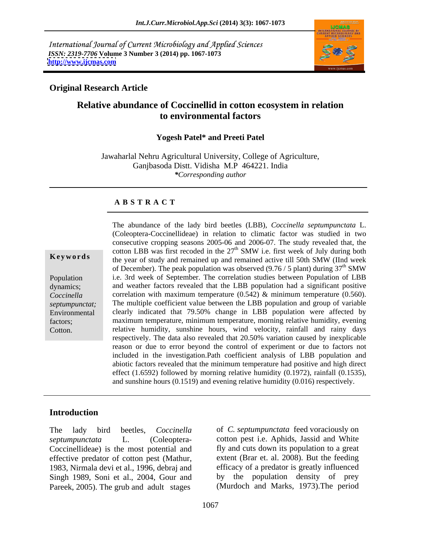International Journal of Current Microbiology and Applied Sciences *ISSN: 2319-7706* **Volume 3 Number 3 (2014) pp. 1067-1073 <http://www.ijcmas.com>**



## **Original Research Article**

# **Relative abundance of Coccinellid in cotton ecosystem in relation to environmental factors**

### **Yogesh Patel\* and Preeti Patel**

Jawaharlal Nehru Agricultural University, College of Agriculture, Ganjbasoda Distt. Vidisha M.P 464221. India *\*Corresponding author*

### **A B S T R A C T**

**Keywords** the year of study and remained up and remained active till 50th SMW (IInd week) Population i.e. 3rd week of September. The correlation studies between Population of LBB dynamics; and weather factors revealed that the LBB population had a significant positive *Coccinella*  correlation with maximum temperature (0.542) & minimum temperature (0.560). *septumpunctat;* The multiple coefficient value between the LBB population and group of variable Environmental clearly indicated that 79.50% change in LBB population were affected by factors; maximum temperature, minimum temperature, morning relative humidity, evening Cotton. The relative humidity, sunshine hours, wind velocity, rainfall and rainy days The abundance of the lady bird beetles (LBB), *Coccinella septumpunctata* L. (Coleoptera-Coccinellideae) in relation to climatic factor was studied in two consecutive cropping seasons 2005-06 and 2006-07. The study revealed that, the cotton LBB was first recoded in the  $27<sup>th</sup>$  SMW i.e. first week of July during both <sup>th</sup> SMW i.e. first week of July during both of December). The peak population was observed (9.76 / 5 plant) during  $37<sup>th</sup>$  SMW respectively. The data also revealed that 20.50% variation caused by inexplicable reason or due to error beyond the control of experiment or due to factors not included in the investigation.Path coefficient analysis of LBB population and abiotic factors revealed that the minimum temperature had positive and high direct effect (1.6592) followed by morning relative humidity (0.1972), rainfall (0.1535), and sunshine hours (0.1519) and evening relative humidity (0.016) respectively.

# **Introduction**

Coccinellideae) is the most potential and effective predator of cotton pest (Mathur, 1983, Nirmala devi et al., 1996, debraj and Singh 1989, Soni et al., 2004, Gour and Pareek, 2005). The grub and adult stages

The lady bird beetles, *Coccinella*  of *C. septumpunctata* feed voraciously on *septumpunctata* L. (Coleoptera- cotton pest i.e. Aphids, Jassid and White fly and cuts down its population to a great extent (Brar et. al. 2008). But the feeding efficacy of a predator is greatly influenced by the population density of prey (Murdoch and Marks, 1973).The period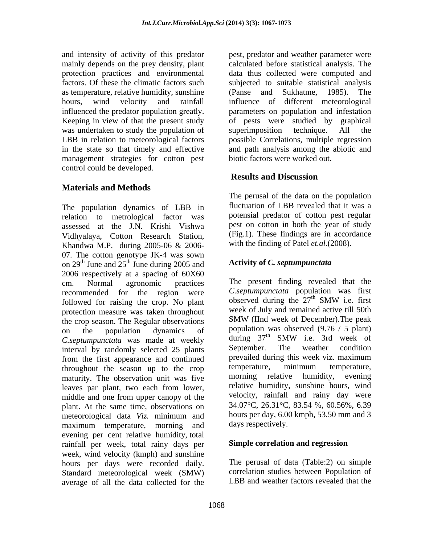and intensity of activity of this predator pest, predator and weather parameter were mainly depends on the prey density, plant calculated before statistical analysis. The protection practices and environmental data thus collected were computed and factors. Of these the climatic factors such subjected to suitable statistical analysis as temperature, relative humidity, sunshine (Panse and Sukhatme, 1985). The hours, wind velocity and rainfall influence of different meteorological influenced the predator population greatly. parameters on population and infestation Keeping in view of that the present study of pests were studied by graphical was undertaken to study the population of superimposition technique. All the LBB in relation to meteorological factors possible Correlations, multiple regression in the state so that timely and effective and path analysis among the abiotic and management strategies for cotton pest control could be developed.

# **Materials and Methods**

The population dynamics of LBB in relation to metrological factor was assessed at the J.N.Krishi Vishwa Vidhyalaya, Cotton Research Station, Khandwa M.P. during 2005-06 & 2006- 07. The cotton genotype JK-4 was sown on  $29<sup>th</sup>$  June and  $25<sup>th</sup>$  June during 2005 and 2006 respectively at a spacing of 60X60 cm. Normal agronomic practices The present finding revealed that the recommended for the region were followed for raising the crop. No plant protection measure was taken throughout week of July and remained active till 50th<br>the crop season. The Regular observations SMW (IInd week of December). The peak the crop season. The Regular observations on the population dynamics of population was observed  $(9.76 / 5$  plant) *C.septumpunctata* was made at weekly during 37<sup>th</sup> SMW i.e. 3rd week of interval by randomly selected 25 plants September. The weather condition interval by randomly selected 25 plants from the first appearance and continued<br>throughout the season up to the crop temperature, minimum temperature, throughout the season up to the crop<br>maturity the observation unit was five the morning relative humidity, evening maturity. The observation unit was five leaves par plant, two each from lower, relative humidity, sunshine hours, wind middle and one from upper canopy of the plant. At the same time, observations on meteorological data *Viz.* minimum and maximum temperature, morning and evening per cent relative humidity, total rainfall per week, total rainy days per week, wind velocity (kmph) and sunshine hours per days were recorded daily. Standard meteorological week (SMW) average of all the data collected for the

(Panse and Sukhatme, 1985). The superimposition technique. All the biotic factors were worked out.

# **Results and Discussion**

The perusal of the data on the population fluctuation of LBB revealed that it was a potensial predator of cotton pest regular pest on cotton in both the year of study (Fig.1). These findings are in accordance with the finding of Patel *et.al.*(2008).

# **Activity of** *C. septumpunctata*

*C.septumpunctata* population was first observed during the  $27<sup>th</sup>$  SMW i.e. first <sup>th</sup> SMW i.e. first week of July and remained active till 50th SMW (IInd week of December).The peak during  $37<sup>th</sup>$  SMW i.e. 3rd week of th SMW i.e. 3rd week of September. The weather condition prevailed during this week viz. maximum temperature, minimum temperature, morning relative humidity, relative humidity, sunshine hours, wind velocity, rainfall and rainy day were 34.07 °C, 26.31 °C, 83.54 %, 60.56%, 6.39 hours per day, 6.00 kmph, 53.50 mm and 3 days respectively.

### **Simple correlation and regression**

The perusal of data (Table:2) on simple correlation studies between Population of LBB and weather factors revealed that the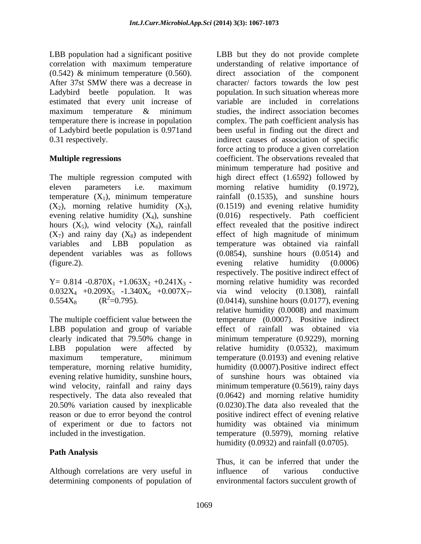LBB population had a significant positive LBB but they do not provide complete estimated that every unit increase of of Ladybird beetle population is 0.971and

 $Y= 0.814 -0.870X_1 +1.063X_2 +0.241X_3 0.032X_4$  +0.209 $X_5$  -1.340 $X_6$  +0.007 $X_7$ -

LBB population were affected by relative humidity (0.0532), maximum temperature, morning relative humidity, evening relative humidity, sunshine hours, of experiment or due to factors not

## **Path Analysis**

Although correlations are very useful in influence of various conductive determining components of population of

correlation with maximum temperature understanding of relative importance of (0.542) & minimum temperature (0.560). direct association of the component After 37st SMW there was a decrease in character/ factors towards the low pest Ladybird beetle population. It was population. In such situation whereas more maximum temperature & minimum studies, the indirect association becomes temperature there is increase in population complex. The path coefficient analysis has 0.31 respectively. indirect causes of association of specific **Multiple regressions** example **coefficient**. The observations revealed that The multiple regression computed with high direct effect (1.6592) followed by eleven parameters i.e. maximum morning relative humidity (0.1972), temperature  $(X_1)$ , minimum temperature rainfall  $(0.1535)$ , and sunshine hours  $(X_2)$ , morning relative humidity  $(X_3)$ ,  $(0.1519)$  and evening relative humidity evening relative humidity  $(X_4)$ , sunshine  $(0.016)$  respectively. Path coefficient hours  $(X_5)$ , wind velocity  $(X_6)$ , rainfall effect revealed that the positive indirect  $(X_7)$  and rainy day  $(X_8)$  as independent effect of high magnitude of minimum variables and LBB population as temperature was obtained via rainfall dependent variables was as follows (0.0854), sunshine hours (0.0514) and (figure.2). evening relative humidity (0.0006) 0.554 $X_8$  (R<sup>2</sup>=0.795). (0.0414), sunshine hours (0.0177), evening The multiple coefficient value between the temperature (0.0007). Positive indirect LBB population and group of variable effect of rainfall was obtained via clearly indicated that 79.50% change in maximum temperature, minimum temperature (0.0193) and evening relative wind velocity, rainfall and rainy days minimum temperature (0.5619), rainy days respectively. The data also revealed that (0.0642) and morning relative humidity 20.50% variation caused by inexplicable (0.0230).The data also revealed that the reason or due to error beyond the control positive indirect effect of evening relative included in the investigation. temperature (0.5979), morning relative character/ factors towards the low pest variable are included in correlations studies, the indirect association becomes been useful in finding out the direct and force acting to produce a given correlation minimum temperature had positive and morning relative humidity  $(0.1972)$ , respectively. The positive indirect effect of morning relative humidity was recorded via wind velocity (0.1308), rainfall relative humidity (0.0008) and maximum minimum temperature (0.9229), morning relative humidity (0.0532), maximum humidity (0.0007).Positive indirect effect of sunshine hours was obtained via humidity was obtained via minimum humidity (0.0932) and rainfall (0.0705).

> Thus, it can be inferred that under the influence of various conductive environmental factors succulent growth of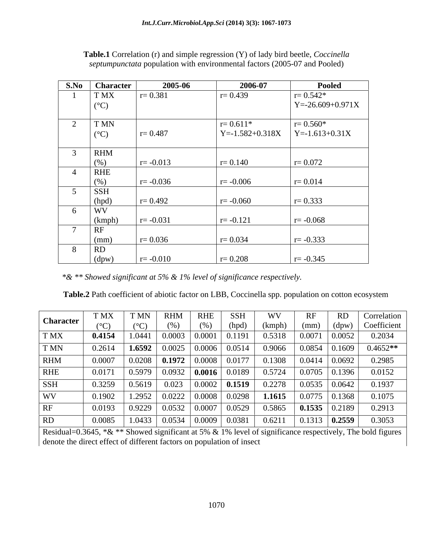|                          | S.No Character           | 2005-06      | 2006-07               | <b>Pooled</b>          |
|--------------------------|--------------------------|--------------|-----------------------|------------------------|
|                          | T MX                     | $r = 0.381$  | $r = 0.439$           | $r = 0.542*$           |
|                          | $(C^{\circ}C)$           |              |                       | $Y = -26.609 + 0.971X$ |
| $\overline{\phantom{a}}$ | T MN                     |              | $r = 0.611*$          | $r = 0.560*$           |
|                          | $(C^{\circ}C)$           | $r = 0.487$  | $Y = -1.582 + 0.318X$ | $Y = -1.613 + 0.31X$   |
|                          | <b>RHM</b>               |              |                       |                        |
|                          | $(\%)$                   | $r = -0.013$ | $r = 0.140$           | $r = 0.072$            |
| - 4                      | RHE                      |              |                       |                        |
|                          | (% )                     | $r = -0.036$ | $r = -0.006$          | $r = 0.014$            |
|                          | SSH                      |              |                       |                        |
|                          | (hpd)                    | $r = 0.492$  | $r = -0.060$          | $r = 0.333$            |
|                          | <b>WV</b>                |              |                       |                        |
|                          | (kmph)                   | $r = -0.031$ | $r = -0.121$          | $r = -0.068$           |
| $\overline{\phantom{0}}$ | RF                       |              |                       |                        |
|                          | $\text{m}$               | $r = 0.036$  | $r = 0.034$           | $r = -0.333$           |
|                          | RD                       |              |                       |                        |
|                          | $\frac{1}{\text{(dpw)}}$ | $r = -0.010$ | $r = 0.208$           | $r = -0.345$           |

**Table.1** Correlation (r) and simple regression (Y) of lady bird beetle, *Coccinella septumpunctata* population with environmental factors (2005-07 and Pooled)

*\*& \*\* Showed significant at 5% & 1% level of significance respectively.*

**Table.2** Path coefficient of abiotic factor on LBB, Coccinella spp. population on cotton ecosystem

| <b>Character</b> | T MX   | T MN | RHM RHE | SSH   | WV                                                                 |                                       | Correlation                                                                                                                                                              |
|------------------|--------|------|---------|-------|--------------------------------------------------------------------|---------------------------------------|--------------------------------------------------------------------------------------------------------------------------------------------------------------------------|
|                  |        |      |         | (hpd) | $(kmph)$ $(mm)$                                                    |                                       | $\log$ (dpw) Coefficient                                                                                                                                                 |
| T MX             | 0.4154 |      |         |       | $1.0441$   0.0003   0.0001   0.1191   0.5318   0.0071   0.0052     |                                       | 0.2034                                                                                                                                                                   |
| T MN             | 0.2614 |      |         |       |                                                                    |                                       | $\overline{1.6592}$ $\overline{)0.0025}$ $\overline{)0.0006}$ $\overline{)0.0514}$ $\overline{)0.9066}$ $\overline{)0.0854}$ $\overline{)0.1609}$ $\overline{)0.4652**}$ |
| <b>RHM</b>       | 0.0007 |      |         |       |                                                                    |                                       | 0.2985                                                                                                                                                                   |
| <b>RHE</b>       | 0.0171 |      |         |       |                                                                    |                                       | $\vert$ 0.5979 $\vert$ 0.0932 $\vert$ <b>0.0016</b> $\vert$ 0.0189 $\vert$ 0.5724 $\vert$ 0.0705 $\vert$ 0.1396 $\vert$ 0.0152                                           |
| <b>SSH</b>       | 0.3259 |      |         |       |                                                                    |                                       | $\vert 0.5619 \vert 0.023 \vert 0.0002 \vert 0.1519 \vert 0.2278 \vert 0.0535 \vert 0.0642 \vert 0.1937$                                                                 |
| <b>WV</b>        | 0.1902 |      |         |       |                                                                    |                                       | $1.2952$   0.0222   0.0008   0.0298   1.1615   0.0775   0.1368   0.1075                                                                                                  |
| RF               | 0.0193 |      |         |       | $\vert 0.9229 \vert 0.0532 \vert 0.0007 \vert 0.0529 \vert 0.5865$ | $\vert$ 0.1535 $\vert$ 0.2189 $\vert$ | 0.2913                                                                                                                                                                   |
| <b>RD</b>        |        |      |         |       | $1.0433$   0.0534   0.0009   0.0381   0.6211   0.1313   0.2559     |                                       | 0.3053                                                                                                                                                                   |

Residual=0.3645, \*& \*\* Showed significant at 5% & 1% level of significance respectively, The bold figures denote the direct effect of different factors on population of insect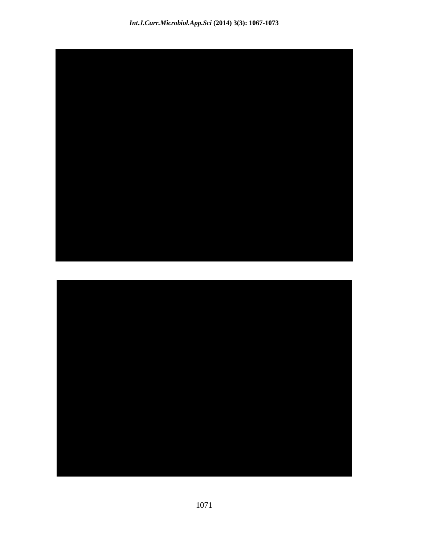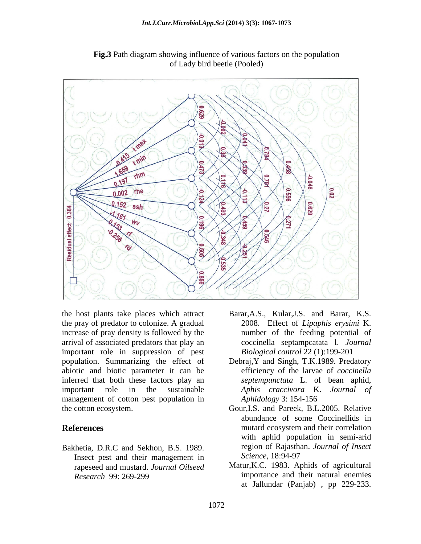

**Fig.3** Path diagram showing influence of various factors on the population of Lady bird beetle (Pooled)

the host plants take places which attract Barar, A.S., Kular, J.S. and Barar, K.S. the pray of predator to colonize. A gradual increase of pray density is followed by the arrival of associated predators that play an important role in suppression of pest abiotic and biotic parameter it can be inferred that both these factors play an management of cotton pest population in Aphidology 3: 154-156

Bakhetia, D.R.C and Sekhon, B.S. 1989.<br>Insect nest and their management in Science, 18:94-97 Insect pest and their management in rapeseed and mustard. *Journal Oilseed*

- 2008. Effect of *Lipaphis erysimi* K. number of the feeding potential of coccinella septampcatata l. *Journal Biological control* 22 (1):199-201
- population. Summarizing the effect of Debraj,Y and Singh, T.K.1989. Predatory important role in the sustainable *Aphis craccivora* K. *Journal of* efficiency of the larvae of *coccinella septempunctata* L. of bean aphid, *Aphidology* 3: 154-156
- the cotton ecosystem. Gour,I.S. and Pareek, B.L.2005. Relative **References** mutard ecosystem and their correlation abundance of some Coccinellids in mutard ecosystem and their correlation with aphid population in semi-arid region of Rajasthan. *Journal of Insect Science*, 18:94-97
	- *Research* 99: 269-299 importance and their natural enemies Matur,K.C. 1983. Aphids of agricultural at Jallundar (Panjab) , pp 229-233.